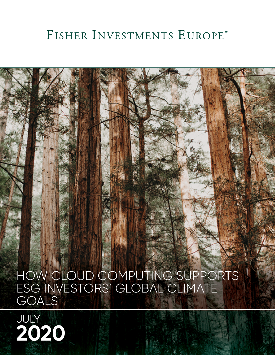## FISHER INVESTMENTS EUROPE™

HOW CLOUD COMPUTING SUPPORTS ESG INVESTORS' GLOBAL CLIMATE GOALS

# JULY **2020**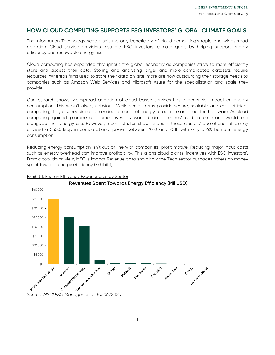#### **HOW CLOUD COMPUTING SUPPORTS ESG INVESTORS' GLOBAL CLIMATE GOALS**

The Information Technology sector isn't the only beneficiary of cloud computing's rapid and widespread adoption. Cloud service providers also aid ESG investors' climate goals by helping support energy efficiency and renewable energy use.

Cloud computing has expanded throughout the global economy as companies strive to more efficiently store and access their data. Storing and analysing larger and more complicated datasets require resources. Whereas firms used to store their data on-site, more are now outsourcing their storage needs to companies such as Amazon Web Services and Microsoft Azure for the specialisation and scale they provide.

Our research shows widespread adoption of cloud-based services has a beneficial impact on energy consumption. This wasn't always obvious. While server farms provide secure, scalable and cost-efficient computing, they also require a tremendous amount of energy to operate and cool the hardware. As cloud computing gained prominence, some investors worried data centres' carbon emissions would rise alongside their energy use. However, recent studies show strides in these clusters' operational efficiency allowed a 550% leap in computational power between 2010 and 2018 with only a 6% bump in energy consumption.1

Reducing energy consumption isn't out of line with companies' profit motive. Reducing major input costs such as energy overhead can improve profitability. This aligns cloud giants' incentives with ESG investors'. From a top-down view, MSCI's Impact Revenue data show how the Tech sector outpaces others on money spent towards energy efficiency (Exhibit 1).



#### Exhibit 1: Energy Efficiency Expenditures by Sector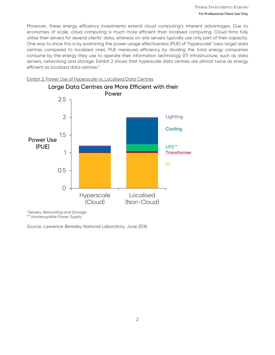Moreover, these energy efficiency investments extend cloud computing's inherent advantages. Due to economies of scale, cloud computing is much more efficient than localised computing. Cloud firms fully utilise their servers for several clients' data, whereas on-site servers typically use only part of their capacity. One way to show this is by examining the power usage effectiveness (PUE) of "hyperscale" (very large) data centres compared to localized ones. PUE measures efficiency by dividing the total energy companies consume by the energy they use to operate their information technology (IT) infrastructure, such as data servers, networking and storage. Exhibit 2 shows that hyperscale data centres are almost twice as energy efficient as localized data centres.<sup>2</sup>



Exhibit 2: Power Use of Hyperscale vs. Localised Data Centres

*\*Servers, Networking and Storage \*\* Uninterruptible Power Supply* 

*Source: Lawrence Berkeley National Laboratory, June 2016.*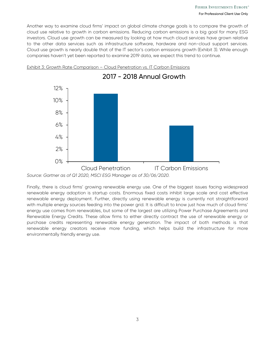Another way to examine cloud firms' impact on global climate change goals is to compare the growth of cloud use relative to growth in carbon emissions. Reducing carbon emissions is a big goal for many ESG investors. Cloud use growth can be measured by looking at how much cloud services have grown relative to the other data services such as infrastructure software, hardware and non-cloud support services. Cloud use growth is nearly double that of the IT sector's carbon emissions growth (Exhibit 3). While enough companies haven't yet been reported to examine 2019 data, we expect this trend to continue.

2017 - 2018 Annual Growth



Exhibit 3: Growth Rate Comparison – Cloud Penetration vs. IT Carbon Emissions

Finally, there is cloud firms' growing renewable energy use. One of the biggest issues facing widespread renewable energy adoption is startup costs. Enormous fixed costs inhibit large scale and cost effective renewable energy deployment. Further, directly using renewable energy is currently not straightforward with multiple energy sources feeding into the power grid. It is difficult to know just how much of cloud firms' energy use comes from renewables, but some of the largest are utilizing Power Purchase Agreements and Renewable Energy Credits. These allow firms to either directly contract the use of renewable energy or purchase credits representing renewable energy generation. The impact of both methods is that renewable energy creators receive more funding, which helps build the infrastructure for more environmentally friendly energy use.

*Source: Gartner as of Q1 2020, MSCI ESG Manager as of 30/06/2020.*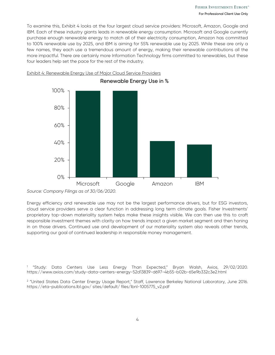To examine this, Exhibit 4 looks at the four largest cloud service providers: Microsoft, Amazon, Google and IBM. Each of these industry giants leads in renewable energy consumption. Microsoft and Google currently purchase enough renewable energy to match all of their electricity consumption, Amazon has committed to 100% renewable use by 2025, and IBM is aiming for 55% renewable use by 2025. While these are only a few names, they each use a tremendous amount of energy, making their renewable contributions all the more impactful. There are certainly more Information Technology firms committed to renewables, but these four leaders help set the pace for the rest of the industry.



#### Exhibit 4: Renewable Energy Use of Major Cloud Service Providers

Energy efficiency and renewable use may not be the largest performance drivers, but for ESG investors, cloud service providers serve a clear function in addressing long term climate goals. Fisher Investments' proprietary top-down materiality system helps make these insights visible. We can then use this to craft responsible investment themes with clarity on how trends impact a given market segment and then honing in on those drivers. Continued use and development of our materiality system also reveals other trends, supporting our goal of continued leadership in responsible money management.

1 "Study: Data Centers Use Less Energy Than Expected," Bryan Walsh, Axios, 29/02/2020. https://www.axios.com/study-data-centers-energy-52d13839-d697-4b55-b02b-65e9b332c3e2.html

2 "United States Data Center Energy Usage Report," Staff, Lawrence Berkeley National Laboratory, June 2016. https://eta-publications.lbl.gov/ sites/default/ files/lbnl-1005775\_v2.pdf

*Source: Company Filings as of 30/06/2020.*